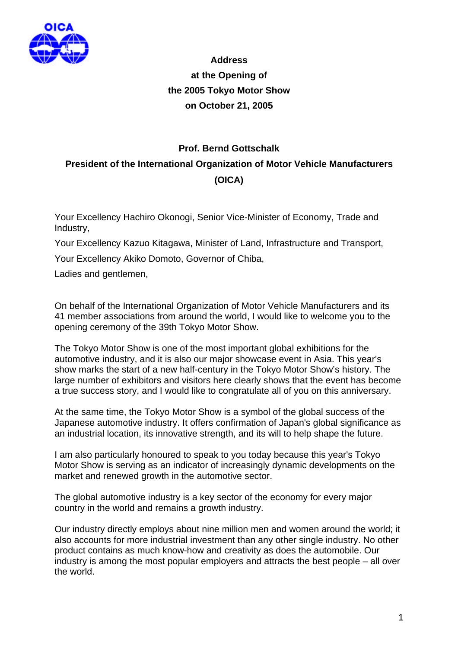

**Address at the Opening of the 2005 Tokyo Motor Show on October 21, 2005**

## **Prof. Bernd Gottschalk President of the International Organization of Motor Vehicle Manufacturers (OICA)**

Your Excellency Hachiro Okonogi, Senior Vice-Minister of Economy, Trade and Industry,

Your Excellency Kazuo Kitagawa, Minister of Land, Infrastructure and Transport,

Your Excellency Akiko Domoto, Governor of Chiba,

Ladies and gentlemen,

On behalf of the International Organization of Motor Vehicle Manufacturers and its 41 member associations from around the world, I would like to welcome you to the opening ceremony of the 39th Tokyo Motor Show.

The Tokyo Motor Show is one of the most important global exhibitions for the automotive industry, and it is also our major showcase event in Asia. This year's show marks the start of a new half-century in the Tokyo Motor Show's history. The large number of exhibitors and visitors here clearly shows that the event has become a true success story, and I would like to congratulate all of you on this anniversary.

At the same time, the Tokyo Motor Show is a symbol of the global success of the Japanese automotive industry. It offers confirmation of Japan's global significance as an industrial location, its innovative strength, and its will to help shape the future.

I am also particularly honoured to speak to you today because this year's Tokyo Motor Show is serving as an indicator of increasingly dynamic developments on the market and renewed growth in the automotive sector.

The global automotive industry is a key sector of the economy for every major country in the world and remains a growth industry.

Our industry directly employs about nine million men and women around the world; it also accounts for more industrial investment than any other single industry. No other product contains as much know-how and creativity as does the automobile. Our industry is among the most popular employers and attracts the best people – all over the world.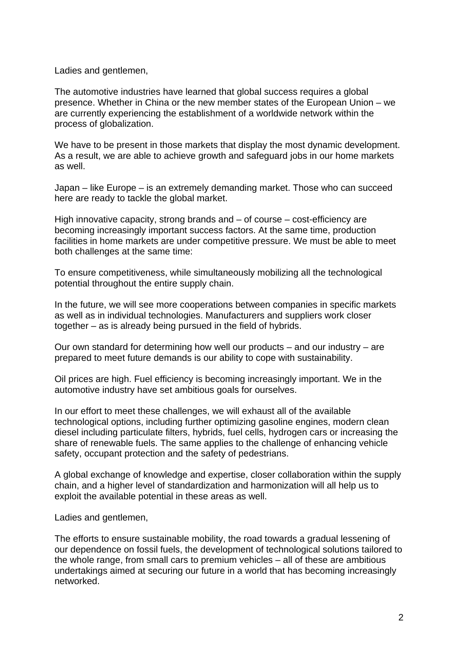Ladies and gentlemen,

The automotive industries have learned that global success requires a global presence. Whether in China or the new member states of the European Union – we are currently experiencing the establishment of a worldwide network within the process of globalization.

We have to be present in those markets that display the most dynamic development. As a result, we are able to achieve growth and safeguard jobs in our home markets as well.

Japan – like Europe – is an extremely demanding market. Those who can succeed here are ready to tackle the global market.

High innovative capacity, strong brands and – of course – cost-efficiency are becoming increasingly important success factors. At the same time, production facilities in home markets are under competitive pressure. We must be able to meet both challenges at the same time:

To ensure competitiveness, while simultaneously mobilizing all the technological potential throughout the entire supply chain.

In the future, we will see more cooperations between companies in specific markets as well as in individual technologies. Manufacturers and suppliers work closer together – as is already being pursued in the field of hybrids.

Our own standard for determining how well our products – and our industry – are prepared to meet future demands is our ability to cope with sustainability.

Oil prices are high. Fuel efficiency is becoming increasingly important. We in the automotive industry have set ambitious goals for ourselves.

In our effort to meet these challenges, we will exhaust all of the available technological options, including further optimizing gasoline engines, modern clean diesel including particulate filters, hybrids, fuel cells, hydrogen cars or increasing the share of renewable fuels. The same applies to the challenge of enhancing vehicle safety, occupant protection and the safety of pedestrians.

A global exchange of knowledge and expertise, closer collaboration within the supply chain, and a higher level of standardization and harmonization will all help us to exploit the available potential in these areas as well.

Ladies and gentlemen,

The efforts to ensure sustainable mobility, the road towards a gradual lessening of our dependence on fossil fuels, the development of technological solutions tailored to the whole range, from small cars to premium vehicles – all of these are ambitious undertakings aimed at securing our future in a world that has becoming increasingly networked.